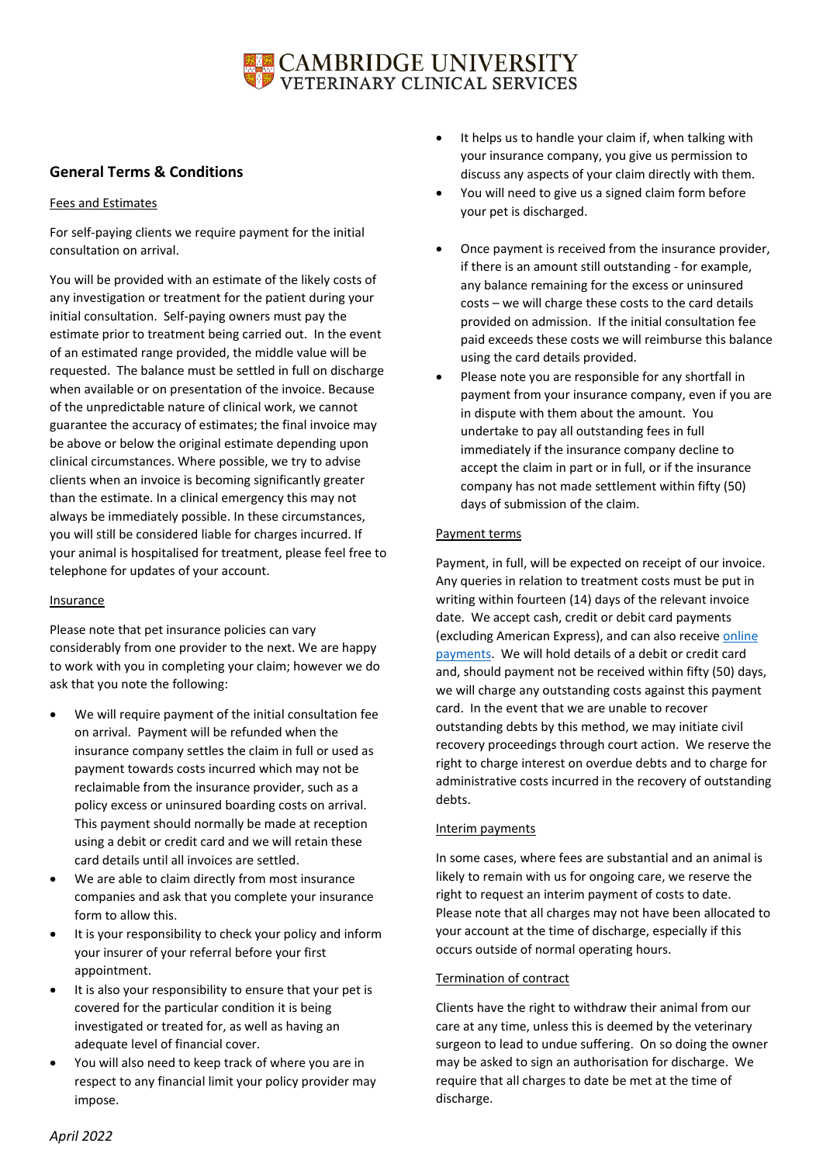# CAMBRIDGE UNIVERSITY<br>VETERINARY CLINICAL SERVICES

# **General Terms & Conditions**

## Fees and Estimates

For self-paying clients we require payment for the initial consultation on arrival.

You will be provided with an estimate of the likely costs of any investigation or treatment for the patient during your initial consultation. Self-paying owners must pay the estimate prior to treatment being carried out. In the event of an estimated range provided, the middle value will be requested. The balance must be settled in full on discharge when available or on presentation of the invoice. Because of the unpredictable nature of clinical work, we cannot guarantee the accuracy of estimates; the final invoice may be above or below the original estimate depending upon clinical circumstances. Where possible, we try to advise clients when an invoice is becoming significantly greater than the estimate. In a clinical emergency this may not always be immediately possible. In these circumstances, you will still be considered liable for charges incurred. If your animal is hospitalised for treatment, please feel free to telephone for updates of your account.

## Insurance

Please note that pet insurance policies can vary considerably from one provider to the next. We are happy to work with you in completing your claim; however we do ask that you note the following:

- We will require payment of the initial consultation fee on arrival. Payment will be refunded when the insurance company settles the claim in full or used as payment towards costs incurred which may not be reclaimable from the insurance provider, such as a policy excess or uninsured boarding costs on arrival. This payment should normally be made at reception using a debit or credit card and we will retain these card details until all invoices are settled.
- We are able to claim directly from most insurance companies and ask that you complete your insurance form to allow this.
- It is your responsibility to check your policy and inform your insurer of your referral before your first appointment.
- It is also your responsibility to ensure that your pet is covered for the particular condition it is being investigated or treated for, as well as having an adequate level of financial cover.
- You will also need to keep track of where you are in respect to any financial limit your policy provider may impose.
- It helps us to handle your claim if, when talking with your insurance company, you give us permission to discuss any aspects of your claim directly with them.
- You will need to give us a signed claim form before your pet is discharged.
- Once payment is received from the insurance provider, if there is an amount still outstanding - for example, any balance remaining for the excess or uninsured costs – we will charge these costs to the card details provided on admission. If the initial consultation fee paid exceeds these costs we will reimburse this balance using the card details provided.
- Please note you are responsible for any shortfall in payment from your insurance company, even if you are in dispute with them about the amount. You undertake to pay all outstanding fees in full immediately if the insurance company decline to accept the claim in part or in full, or if the insurance company has not made settlement within fifty (50) days of submission of the claim.

# Payment terms

Payment, in full, will be expected on receipt of our invoice. Any queries in relation to treatment costs must be put in writing within fourteen (14) days of the relevant invoice date. We accept cash, credit or debit card payments (excluding American Express), and can also receive [online](https://onlinesales.admin.cam.ac.uk/product-catalogue/products/schools-faculties-departments-and-institutions/the-queens-veterinary-school-hospital/payment-of-veterinary-fees-to-the-queens-veterinary-school-hospital)  [payments.](https://onlinesales.admin.cam.ac.uk/product-catalogue/products/schools-faculties-departments-and-institutions/the-queens-veterinary-school-hospital/payment-of-veterinary-fees-to-the-queens-veterinary-school-hospital) We will hold details of a debit or credit card and, should payment not be received within fifty (50) days, we will charge any outstanding costs against this payment card. In the event that we are unable to recover outstanding debts by this method, we may initiate civil recovery proceedings through court action. We reserve the right to charge interest on overdue debts and to charge for administrative costs incurred in the recovery of outstanding debts.

## Interim payments

In some cases, where fees are substantial and an animal is likely to remain with us for ongoing care, we reserve the right to request an interim payment of costs to date. Please note that all charges may not have been allocated to your account at the time of discharge, especially if this occurs outside of normal operating hours.

# Termination of contract

Clients have the right to withdraw their animal from our care at any time, unless this is deemed by the veterinary surgeon to lead to undue suffering. On so doing the owner may be asked to sign an authorisation for discharge. We require that all charges to date be met at the time of discharge.